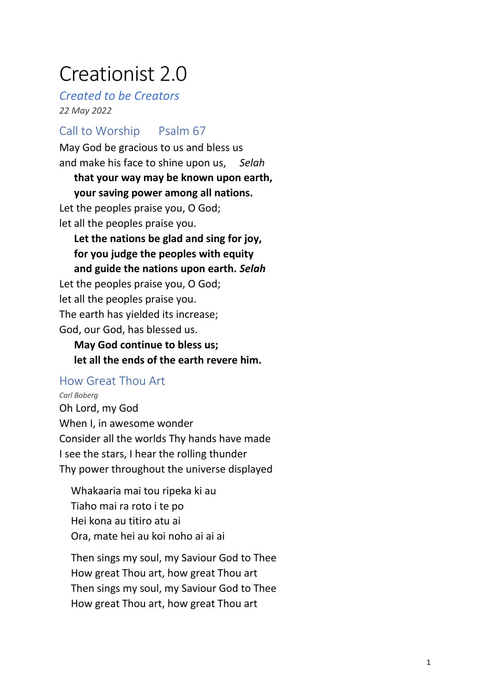# Creationist 2.0

*Created to be Creators 22 May 2022*

# Call to Worship Psalm 67 May God be gracious to us and bless us and make his face to shine upon us, *Selah* **that your way may be known upon earth, your saving power among all nations.**  Let the peoples praise you, O God; let all the peoples praise you. **Let the nations be glad and sing for joy,**

**for you judge the peoples with equity and guide the nations upon earth.** *Selah*

Let the peoples praise you, O God; let all the peoples praise you. The earth has yielded its increase; God, our God, has blessed us.

## **May God continue to bless us; let all the ends of the earth revere him.**

# How Great Thou Art

*Carl Boberg* Oh Lord, my God When I, in awesome wonder Consider all the worlds Thy hands have made I see the stars, I hear the rolling thunder Thy power throughout the universe displayed

Whakaaria mai tou ripeka ki au Tiaho mai ra roto i te po Hei kona au titiro atu ai Ora, mate hei au koi noho ai ai ai

Then sings my soul, my Saviour God to Thee How great Thou art, how great Thou art Then sings my soul, my Saviour God to Thee How great Thou art, how great Thou art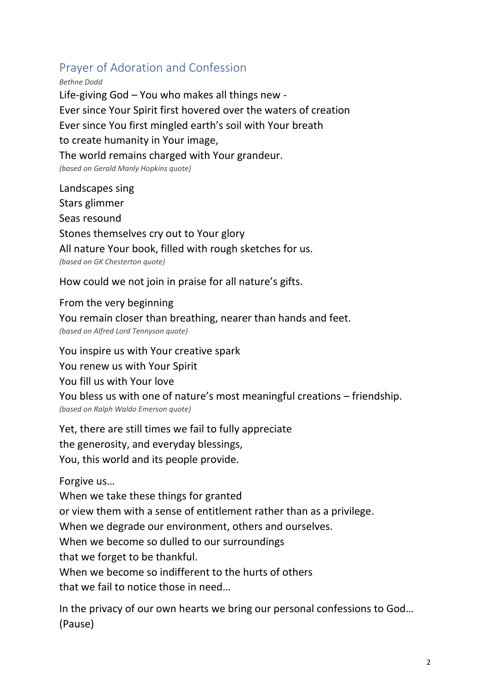## Prayer of Adoration and Confession

*Bethne Dodd* Life-giving God – You who makes all things new - Ever since Your Spirit first hovered over the waters of creation Ever since You first mingled earth's soil with Your breath to create humanity in Your image, The world remains charged with Your grandeur. *(based on Gerald Manly Hopkins quote)*

Landscapes sing Stars glimmer Seas resound Stones themselves cry out to Your glory All nature Your book, filled with rough sketches for us. *(based on GK Chesterton quote)*

How could we not join in praise for all nature's gifts.

From the very beginning You remain closer than breathing, nearer than hands and feet. *(based on Alfred Lord Tennyson quote)*

You inspire us with Your creative spark You renew us with Your Spirit You fill us with Your love You bless us with one of nature's most meaningful creations – friendship. *(based on Ralph Waldo Emerson quote)*

Yet, there are still times we fail to fully appreciate the generosity, and everyday blessings, You, this world and its people provide.

Forgive us…

When we take these things for granted

or view them with a sense of entitlement rather than as a privilege.

When we degrade our environment, others and ourselves.

When we become so dulled to our surroundings

that we forget to be thankful.

When we become so indifferent to the hurts of others

that we fail to notice those in need…

In the privacy of our own hearts we bring our personal confessions to God… (Pause)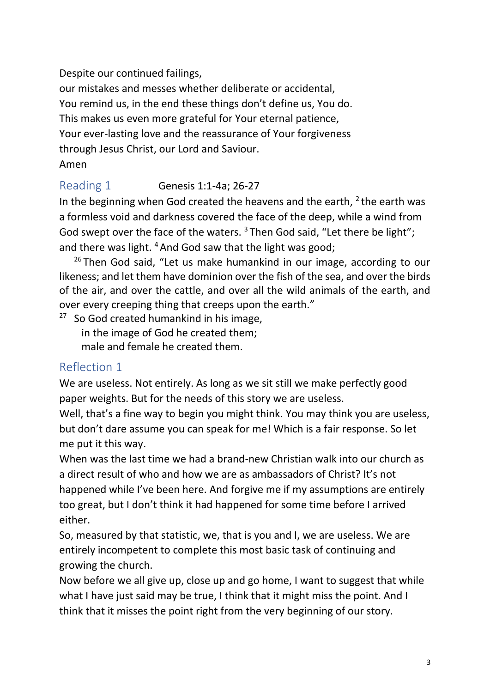### Despite our continued failings,

our mistakes and messes whether deliberate or accidental, You remind us, in the end these things don't define us, You do. This makes us even more grateful for Your eternal patience, Your ever-lasting love and the reassurance of Your forgiveness through Jesus Christ, our Lord and Saviour. Amen

## Reading 1 Genesis 1:1-4a; 26-27

In the beginning when God created the heavens and the earth,  $2$  the earth was a formless void and darkness covered the face of the deep, while a wind from God swept over the face of the waters.<sup>3</sup> Then God said, "Let there be light"; and there was light. <sup>4</sup> And God saw that the light was good;

 $26$  Then God said, "Let us make humankind in our image, according to our likeness; and let them have dominion over the fish of the sea, and over the birds of the air, and over the cattle, and over all the wild animals of the earth, and over every creeping thing that creeps upon the earth."

 $27$  So God created humankind in his image, in the image of God he created them; male and female he created them.

# Reflection 1

We are useless. Not entirely. As long as we sit still we make perfectly good paper weights. But for the needs of this story we are useless.

Well, that's a fine way to begin you might think. You may think you are useless, but don't dare assume you can speak for me! Which is a fair response. So let me put it this way.

When was the last time we had a brand-new Christian walk into our church as a direct result of who and how we are as ambassadors of Christ? It's not happened while I've been here. And forgive me if my assumptions are entirely too great, but I don't think it had happened for some time before I arrived either.

So, measured by that statistic, we, that is you and I, we are useless. We are entirely incompetent to complete this most basic task of continuing and growing the church.

Now before we all give up, close up and go home, I want to suggest that while what I have just said may be true, I think that it might miss the point. And I think that it misses the point right from the very beginning of our story.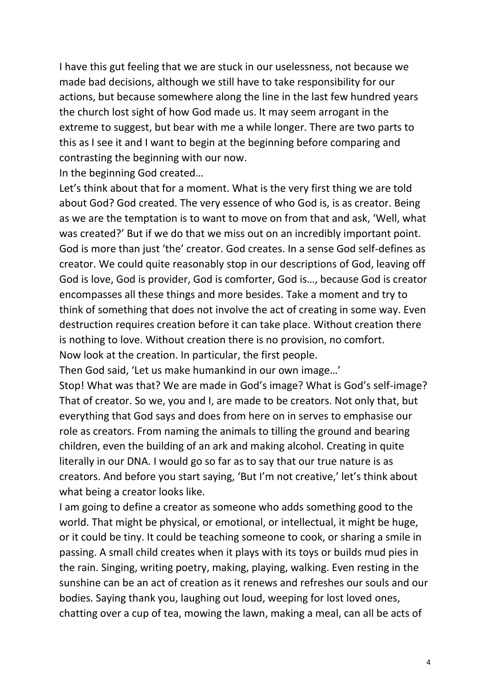I have this gut feeling that we are stuck in our uselessness, not because we made bad decisions, although we still have to take responsibility for our actions, but because somewhere along the line in the last few hundred years the church lost sight of how God made us. It may seem arrogant in the extreme to suggest, but bear with me a while longer. There are two parts to this as I see it and I want to begin at the beginning before comparing and contrasting the beginning with our now.

In the beginning God created…

Let's think about that for a moment. What is the very first thing we are told about God? God created. The very essence of who God is, is as creator. Being as we are the temptation is to want to move on from that and ask, 'Well, what was created?' But if we do that we miss out on an incredibly important point. God is more than just 'the' creator. God creates. In a sense God self-defines as creator. We could quite reasonably stop in our descriptions of God, leaving off God is love, God is provider, God is comforter, God is…, because God is creator encompasses all these things and more besides. Take a moment and try to think of something that does not involve the act of creating in some way. Even destruction requires creation before it can take place. Without creation there is nothing to love. Without creation there is no provision, no comfort. Now look at the creation. In particular, the first people.

Then God said, 'Let us make humankind in our own image…'

Stop! What was that? We are made in God's image? What is God's self-image? That of creator. So we, you and I, are made to be creators. Not only that, but everything that God says and does from here on in serves to emphasise our role as creators. From naming the animals to tilling the ground and bearing children, even the building of an ark and making alcohol. Creating in quite literally in our DNA. I would go so far as to say that our true nature is as creators. And before you start saying, 'But I'm not creative,' let's think about what being a creator looks like.

I am going to define a creator as someone who adds something good to the world. That might be physical, or emotional, or intellectual, it might be huge, or it could be tiny. It could be teaching someone to cook, or sharing a smile in passing. A small child creates when it plays with its toys or builds mud pies in the rain. Singing, writing poetry, making, playing, walking. Even resting in the sunshine can be an act of creation as it renews and refreshes our souls and our bodies. Saying thank you, laughing out loud, weeping for lost loved ones, chatting over a cup of tea, mowing the lawn, making a meal, can all be acts of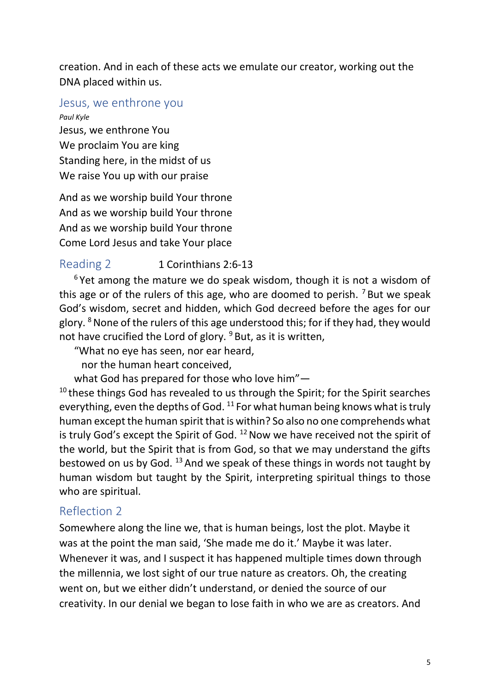creation. And in each of these acts we emulate our creator, working out the DNA placed within us.

#### Jesus, we enthrone you

*Paul Kyle* Jesus, we enthrone You We proclaim You are king Standing here, in the midst of us We raise You up with our praise

And as we worship build Your throne And as we worship build Your throne And as we worship build Your throne Come Lord Jesus and take Your place

#### Reading 2 1 Corinthians 2:6-13

 $6$  Yet among the mature we do speak wisdom, though it is not a wisdom of this age or of the rulers of this age, who are doomed to perish.  $<sup>7</sup>$  But we speak</sup> God's wisdom, secret and hidden, which God decreed before the ages for our glory. <sup>8</sup> None of the rulers of this age understood this; for if they had, they would not have crucified the Lord of glory. <sup>9</sup> But, as it is written,

"What no eye has seen, nor ear heard,

nor the human heart conceived,

what God has prepared for those who love him"—

 $10$  these things God has revealed to us through the Spirit; for the Spirit searches everything, even the depths of God.  $11$  For what human being knows what is truly human except the human spirit that is within? So also no one comprehends what is truly God's except the Spirit of God.  $12$  Now we have received not the spirit of the world, but the Spirit that is from God, so that we may understand the gifts bestowed on us by God.  $^{13}$  And we speak of these things in words not taught by human wisdom but taught by the Spirit, interpreting spiritual things to those who are spiritual.

#### Reflection 2

Somewhere along the line we, that is human beings, lost the plot. Maybe it was at the point the man said, 'She made me do it.' Maybe it was later. Whenever it was, and I suspect it has happened multiple times down through the millennia, we lost sight of our true nature as creators. Oh, the creating went on, but we either didn't understand, or denied the source of our creativity. In our denial we began to lose faith in who we are as creators. And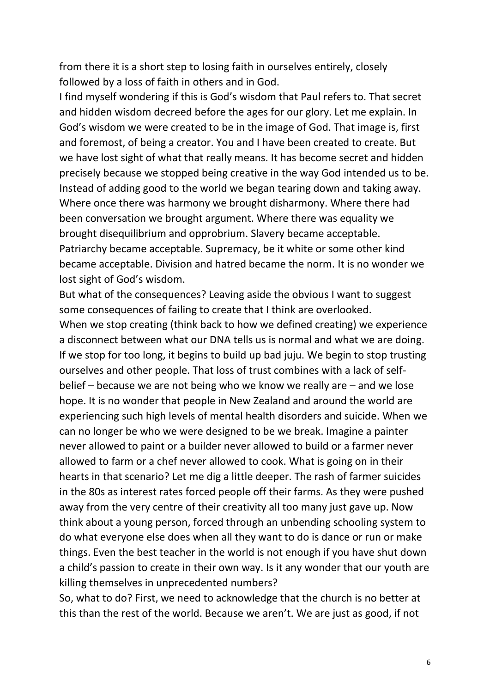from there it is a short step to losing faith in ourselves entirely, closely followed by a loss of faith in others and in God.

I find myself wondering if this is God's wisdom that Paul refers to. That secret and hidden wisdom decreed before the ages for our glory. Let me explain. In God's wisdom we were created to be in the image of God. That image is, first and foremost, of being a creator. You and I have been created to create. But we have lost sight of what that really means. It has become secret and hidden precisely because we stopped being creative in the way God intended us to be. Instead of adding good to the world we began tearing down and taking away. Where once there was harmony we brought disharmony. Where there had been conversation we brought argument. Where there was equality we brought disequilibrium and opprobrium. Slavery became acceptable. Patriarchy became acceptable. Supremacy, be it white or some other kind became acceptable. Division and hatred became the norm. It is no wonder we lost sight of God's wisdom.

But what of the consequences? Leaving aside the obvious I want to suggest some consequences of failing to create that I think are overlooked. When we stop creating (think back to how we defined creating) we experience a disconnect between what our DNA tells us is normal and what we are doing. If we stop for too long, it begins to build up bad juju. We begin to stop trusting ourselves and other people. That loss of trust combines with a lack of selfbelief – because we are not being who we know we really are – and we lose hope. It is no wonder that people in New Zealand and around the world are experiencing such high levels of mental health disorders and suicide. When we can no longer be who we were designed to be we break. Imagine a painter never allowed to paint or a builder never allowed to build or a farmer never allowed to farm or a chef never allowed to cook. What is going on in their hearts in that scenario? Let me dig a little deeper. The rash of farmer suicides in the 80s as interest rates forced people off their farms. As they were pushed away from the very centre of their creativity all too many just gave up. Now think about a young person, forced through an unbending schooling system to do what everyone else does when all they want to do is dance or run or make things. Even the best teacher in the world is not enough if you have shut down a child's passion to create in their own way. Is it any wonder that our youth are killing themselves in unprecedented numbers?

So, what to do? First, we need to acknowledge that the church is no better at this than the rest of the world. Because we aren't. We are just as good, if not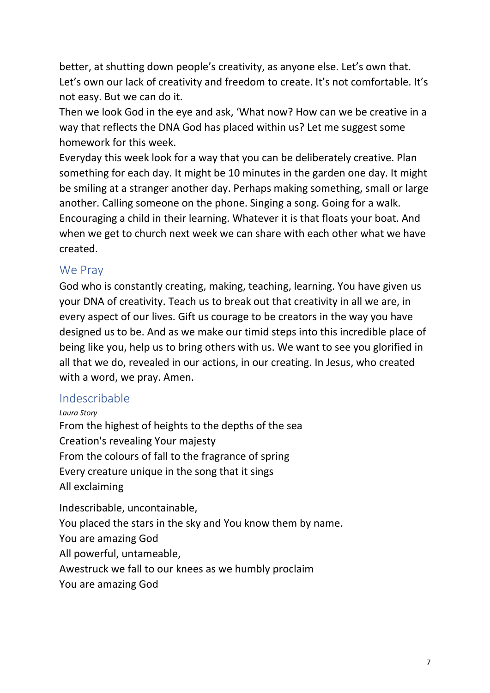better, at shutting down people's creativity, as anyone else. Let's own that. Let's own our lack of creativity and freedom to create. It's not comfortable. It's not easy. But we can do it.

Then we look God in the eye and ask, 'What now? How can we be creative in a way that reflects the DNA God has placed within us? Let me suggest some homework for this week.

Everyday this week look for a way that you can be deliberately creative. Plan something for each day. It might be 10 minutes in the garden one day. It might be smiling at a stranger another day. Perhaps making something, small or large another. Calling someone on the phone. Singing a song. Going for a walk. Encouraging a child in their learning. Whatever it is that floats your boat. And when we get to church next week we can share with each other what we have created.

### We Pray

God who is constantly creating, making, teaching, learning. You have given us your DNA of creativity. Teach us to break out that creativity in all we are, in every aspect of our lives. Gift us courage to be creators in the way you have designed us to be. And as we make our timid steps into this incredible place of being like you, help us to bring others with us. We want to see you glorified in all that we do, revealed in our actions, in our creating. In Jesus, who created with a word, we pray. Amen.

### Indescribable

#### *Laura Story*

From the highest of heights to the depths of the sea Creation's revealing Your majesty From the colours of fall to the fragrance of spring Every creature unique in the song that it sings All exclaiming

Indescribable, uncontainable,

You placed the stars in the sky and You know them by name.

You are amazing God

All powerful, untameable,

Awestruck we fall to our knees as we humbly proclaim

You are amazing God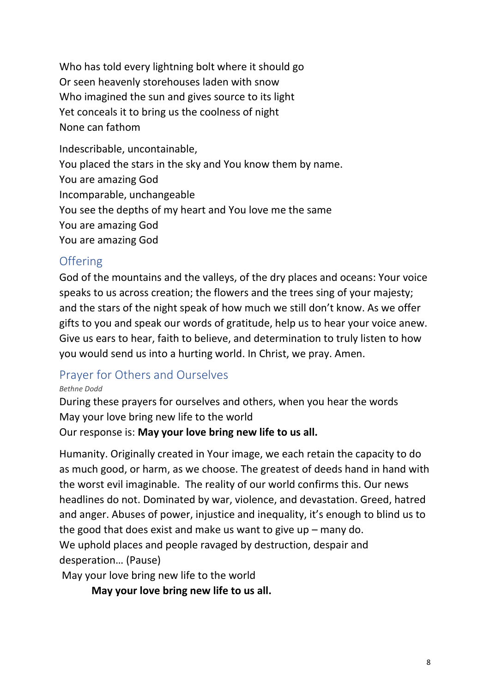Who has told every lightning bolt where it should go Or seen heavenly storehouses laden with snow Who imagined the sun and gives source to its light Yet conceals it to bring us the coolness of night None can fathom

Indescribable, uncontainable, You placed the stars in the sky and You know them by name. You are amazing God Incomparable, unchangeable You see the depths of my heart and You love me the same You are amazing God You are amazing God

# **Offering**

God of the mountains and the valleys, of the dry places and oceans: Your voice speaks to us across creation; the flowers and the trees sing of your majesty; and the stars of the night speak of how much we still don't know. As we offer gifts to you and speak our words of gratitude, help us to hear your voice anew. Give us ears to hear, faith to believe, and determination to truly listen to how you would send us into a hurting world. In Christ, we pray. Amen.

# Prayer for Others and Ourselves

### *Bethne Dodd*

During these prayers for ourselves and others, when you hear the words May your love bring new life to the world

Our response is: **May your love bring new life to us all.**

Humanity. Originally created in Your image, we each retain the capacity to do as much good, or harm, as we choose. The greatest of deeds hand in hand with the worst evil imaginable. The reality of our world confirms this. Our news headlines do not. Dominated by war, violence, and devastation. Greed, hatred and anger. Abuses of power, injustice and inequality, it's enough to blind us to the good that does exist and make us want to give up  $-$  many do. We uphold places and people ravaged by destruction, despair and desperation… (Pause)

May your love bring new life to the world

**May your love bring new life to us all.**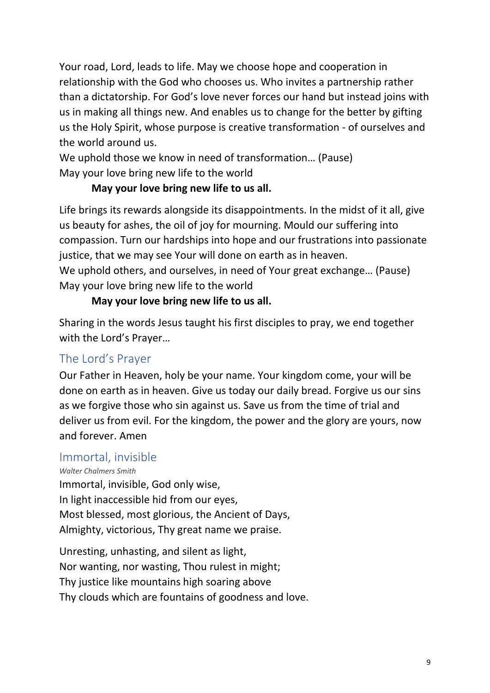Your road, Lord, leads to life. May we choose hope and cooperation in relationship with the God who chooses us. Who invites a partnership rather than a dictatorship. For God's love never forces our hand but instead joins with us in making all things new. And enables us to change for the better by gifting us the Holy Spirit, whose purpose is creative transformation - of ourselves and the world around us.

We uphold those we know in need of transformation… (Pause) May your love bring new life to the world

## **May your love bring new life to us all.**

Life brings its rewards alongside its disappointments. In the midst of it all, give us beauty for ashes, the oil of joy for mourning. Mould our suffering into compassion. Turn our hardships into hope and our frustrations into passionate justice, that we may see Your will done on earth as in heaven.

We uphold others, and ourselves, in need of Your great exchange… (Pause) May your love bring new life to the world

## **May your love bring new life to us all.**

Sharing in the words Jesus taught his first disciples to pray, we end together with the Lord's Prayer…

# The Lord's Prayer

Our Father in Heaven, holy be your name. Your kingdom come, your will be done on earth as in heaven. Give us today our daily bread. Forgive us our sins as we forgive those who sin against us. Save us from the time of trial and deliver us from evil. For the kingdom, the power and the glory are yours, now and forever. Amen

### Immortal, invisible

#### *Walter Chalmers Smith*

Immortal, invisible, God only wise, In light inaccessible hid from our eyes, Most blessed, most glorious, the Ancient of Days, Almighty, victorious, Thy great name we praise.

Unresting, unhasting, and silent as light, Nor wanting, nor wasting, Thou rulest in might; Thy justice like mountains high soaring above Thy clouds which are fountains of goodness and love.